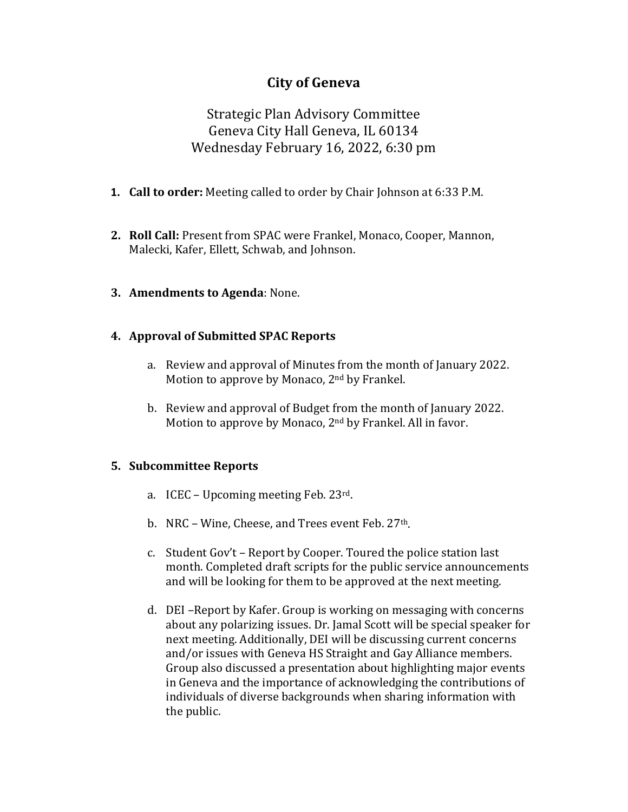# **City of Geneva**

Strategic Plan Advisory Committee Geneva City Hall Geneva, IL 60134 Wednesday February 16, 2022, 6:30 pm

- **1. Call to order:** Meeting called to order by Chair Johnson at 6:33 P.M.
- **2. Roll Call:** Present from SPAC were Frankel, Monaco, Cooper, Mannon, Malecki, Kafer, Ellett, Schwab, and Johnson.
- **3. Amendments to Agenda**: None.

# **4. Approval of Submitted SPAC Reports**

- a. Review and approval of Minutes from the month of January 2022. Motion to approve by Monaco, 2<sup>nd</sup> by Frankel.
- b. Review and approval of Budget from the month of January 2022. Motion to approve by Monaco, 2nd by Frankel. All in favor.

# **5. Subcommittee Reports**

- a. ICEC Upcoming meeting Feb. 23rd.
- b. NRC Wine, Cheese, and Trees event Feb.  $27<sup>th</sup>$ .
- c. Student Gov't Report by Cooper. Toured the police station last month. Completed draft scripts for the public service announcements and will be looking for them to be approved at the next meeting.
- d. DEI –Report by Kafer. Group is working on messaging with concerns about any polarizing issues. Dr. Jamal Scott will be special speaker for next meeting. Additionally, DEI will be discussing current concerns and/or issues with Geneva HS Straight and Gay Alliance members. Group also discussed a presentation about highlighting major events in Geneva and the importance of acknowledging the contributions of individuals of diverse backgrounds when sharing information with the public.